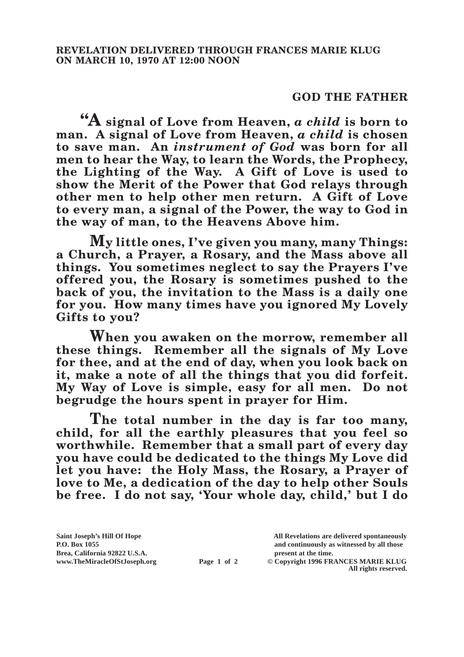## **GOD THE FATHER**

**"A signal of Love from Heaven,** *a child* **is born to man. A signal of Love from Heaven,** *a child* **is chosen to save man. An** *instrument of God* **was born for all men to hear the Way, to learn the Words, the Prophecy, the Lighting of the Way. A Gift of Love is used to show the Merit of the Power that God relays through other men to help other men return. A Gift of Love to every man, a signal of the Power, the way to God in the way of man, to the Heavens Above him.**

**My little ones, I've given you many, many Things: a Church, a Prayer, a Rosary, and the Mass above all things. You sometimes neglect to say the Prayers I've offered you, the Rosary is sometimes pushed to the back of you, the invitation to the Mass is a daily one for you. How many times have you ignored My Lovely Gifts to you?**

**When you awaken on the morrow, remember all these things. Remember all the signals of My Love for thee, and at the end of day, when you look back on it, make a note of all the things that you did forfeit. My Way of Love is simple, easy for all men. Do not begrudge the hours spent in prayer for Him.**

**The total number in the day is far too many, child, for all the earthly pleasures that you feel so worthwhile. Remember that a small part of every day you have could be dedicated to the things My Love did let you have: the Holy Mass, the Rosary, a Prayer of love to Me, a dedication of the day to help other Souls be free. I do not say, 'Your whole day, child,' but I do** 

**All rights reserved.**